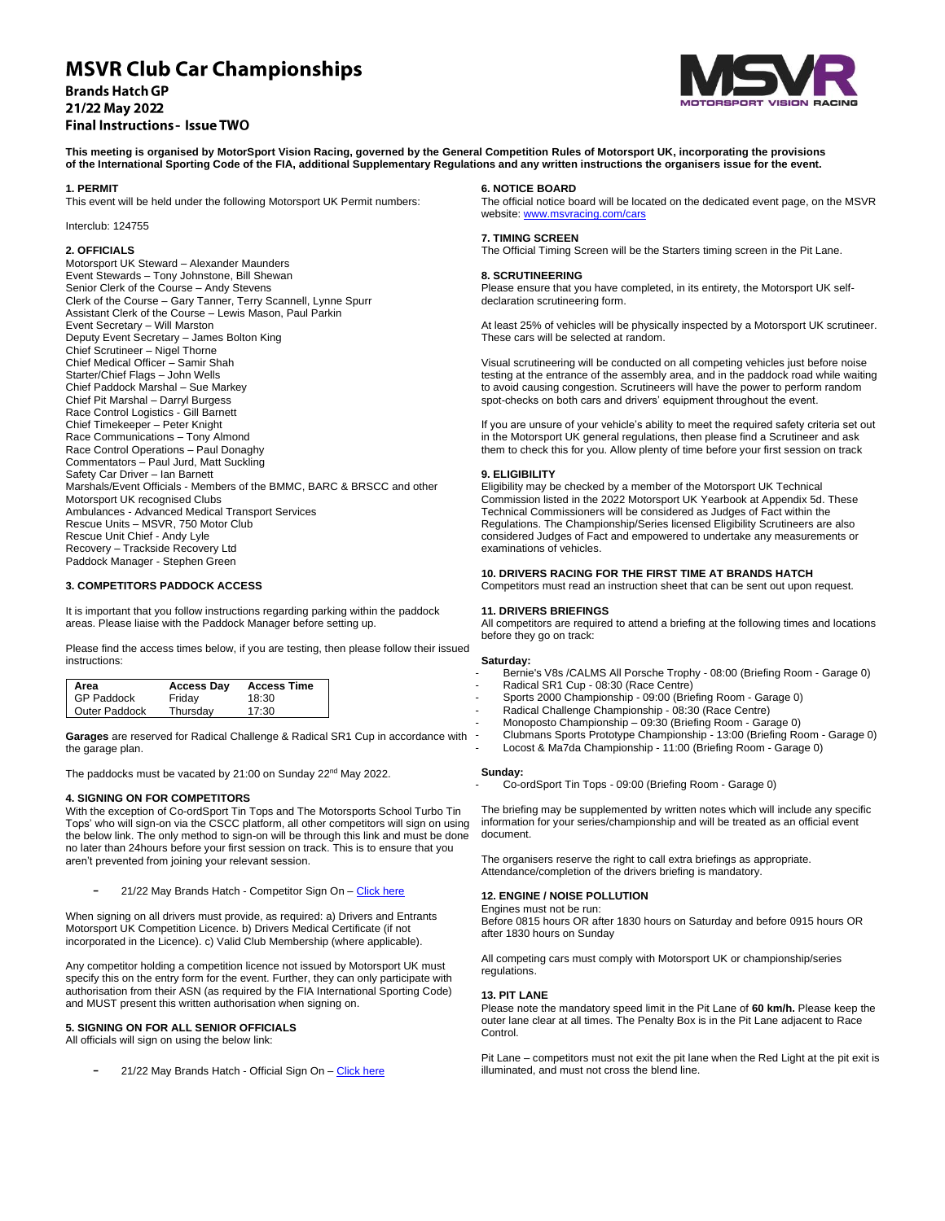# **MSVR Club Car Championships**

**Brands Hatch GP** 21/22 May 2022 **Final Instructions - Issue TWO** 



**This meeting is organised by MotorSport Vision Racing, governed by the General Competition Rules of Motorsport UK, incorporating the provisions of the International Sporting Code of the FIA, additional Supplementary Regulations and any written instructions the organisers issue for the event.**

#### **1. PERMIT**

This event will be held under the following Motorsport UK Permit numbers:

# Interclub: 124755

# **2. OFFICIALS**

Motorsport UK Steward – Alexander Maunders Event Stewards – Tony Johnstone, Bill Shewan Senior Clerk of the Course – Andy Stevens Clerk of the Course – Gary Tanner, Terry Scannell, Lynne Spurr Assistant Clerk of the Course – Lewis Mason, Paul Parkin Event Secretary – Will Marston Deputy Event Secretary – James Bolton King Chief Scrutineer – Nigel Thorne Chief Medical Officer – Samir Shah Starter/Chief Flags – John Wells Chief Paddock Marshal – Sue Markey Chief Pit Marshal – Darryl Burgess Race Control Logistics - Gill Barnett Chief Timekeeper – Peter Knight Race Communications – Tony Almond Race Control Operations – Paul Donaghy Commentators – Paul Jurd, Matt Suckling Safety Car Driver – Ian Barnett Marshals/Event Officials - Members of the BMMC, BARC & BRSCC and other Motorsport UK recognised Clubs Ambulances - Advanced Medical Transport Services Rescue Units – MSVR, 750 Motor Club Rescue Unit Chief - Andy Lyle Recovery – Trackside Recovery Ltd Paddock Manager - Stephen Green

# **3. COMPETITORS PADDOCK ACCESS**

It is important that you follow instructions regarding parking within the paddock areas. Please liaise with the Paddock Manager before setting up.

Please find the access times below, if you are testing, then please follow their issued instructions:

| Area              | <b>Access Day</b> | <b>Access Time</b> |
|-------------------|-------------------|--------------------|
| <b>GP Paddock</b> | Friday            | 18:30              |
| Outer Paddock     | Thursday          | 17:30              |

**Garages** are reserved for Radical Challenge & Radical SR1 Cup in accordance with the garage plan.

The paddocks must be vacated by 21:00 on Sunday 22<sup>nd</sup> May 2022.

# **4. SIGNING ON FOR COMPETITORS**

With the exception of Co-ordSport Tin Tops and The Motorsports School Turbo Tin Tops' who will sign-on via the CSCC platform, all other competitors will sign on using the below link. The only method to sign-on will be through this link and must be done no later than 24hours before your first session on track. This is to ensure that you aren't prevented from joining your relevant session.

21/22 May Brands Hatch - Competitor Sign On - Click here

When signing on all drivers must provide, as required: a) Drivers and Entrants Motorsport UK Competition Licence. b) Drivers Medical Certificate (if not incorporated in the Licence). c) Valid Club Membership (where applicable).

Any competitor holding a competition licence not issued by Motorsport UK must specify this on the entry form for the event. Further, they can only participate with authorisation from their ASN (as required by the FIA International Sporting Code) and MUST present this written authorisation when signing on.

# **5. SIGNING ON FOR ALL SENIOR OFFICIALS**

All officials will sign on using the below link:

21/22 May Brands Hatch - Official Sign On - Click here

#### **6. NOTICE BOARD**

The official notice board will be located on the dedicated event page, on the MSVR website: www.msvracing.com/cars

#### **7. TIMING SCREEN**

The Official Timing Screen will be the Starters timing screen in the Pit Lane.

#### **8. SCRUTINEERING**

Please ensure that you have completed, in its entirety, the Motorsport UK selfdeclaration scrutineering form.

At least 25% of vehicles will be physically inspected by a Motorsport UK scrutineer. These cars will be selected at random.

Visual scrutineering will be conducted on all competing vehicles just before noise testing at the entrance of the assembly area, and in the paddock road while waiting to avoid causing congestion. Scrutineers will have the power to perform random spot-checks on both cars and drivers' equipment throughout the event.

If you are unsure of your vehicle's ability to meet the required safety criteria set out in the Motorsport UK general regulations, then please find a Scrutineer and ask them to check this for you. Allow plenty of time before your first session on track

#### **9. ELIGIBILITY**

Eligibility may be checked by a member of the Motorsport UK Technical Commission listed in the 2022 Motorsport UK Yearbook at Appendix 5d. These Technical Commissioners will be considered as Judges of Fact within the Regulations. The Championship/Series licensed Eligibility Scrutineers are also considered Judges of Fact and empowered to undertake any measurements or examinations of vehicles.

#### **10. DRIVERS RACING FOR THE FIRST TIME AT BRANDS HATCH**

Competitors must read an instruction sheet that can be sent out upon request.

#### **11. DRIVERS BRIEFINGS**

All competitors are required to attend a briefing at the following times and locations before they go on track:

#### **Saturday:**

- Bernie's V8s /CALMS All Porsche Trophy 08:00 (Briefing Room Garage 0) - Radical SR1 Cup - 08:30 (Race Centre)
- Sports 2000 Championship 09:00 (Briefing Room Garage 0)
- Radical Challenge Championship 08:30 (Race Centre)
- Monoposto Championship 09:30 (Briefing Room Garage 0)
- Clubmans Sports Prototype Championship 13:00 (Briefing Room Garage 0)
- Locost & Ma7da Championship 11:00 (Briefing Room Garage 0)

# **Sunday:**

- Co-ordSport Tin Tops - 09:00 (Briefing Room - Garage 0)

The briefing may be supplemented by written notes which will include any specific information for your series/championship and will be treated as an official event document.

The organisers reserve the right to call extra briefings as appropriate. Attendance/completion of the drivers briefing is mandatory.

# **12. ENGINE / NOISE POLLUTION**

Engines must not be run: Before 0815 hours OR after 1830 hours on Saturday and before 0915 hours OR after 1830 hours on Sunday

All competing cars must comply with Motorsport UK or championship/series regulations.

#### **13. PIT LANE**

Please note the mandatory speed limit in the Pit Lane of **60 km/h.** Please keep the outer lane clear at all times. The Penalty Box is in the Pit Lane adjacent to Race Control.

Pit Lane – competitors must not exit the pit lane when the Red Light at the pit exit is illuminated, and must not cross the blend line.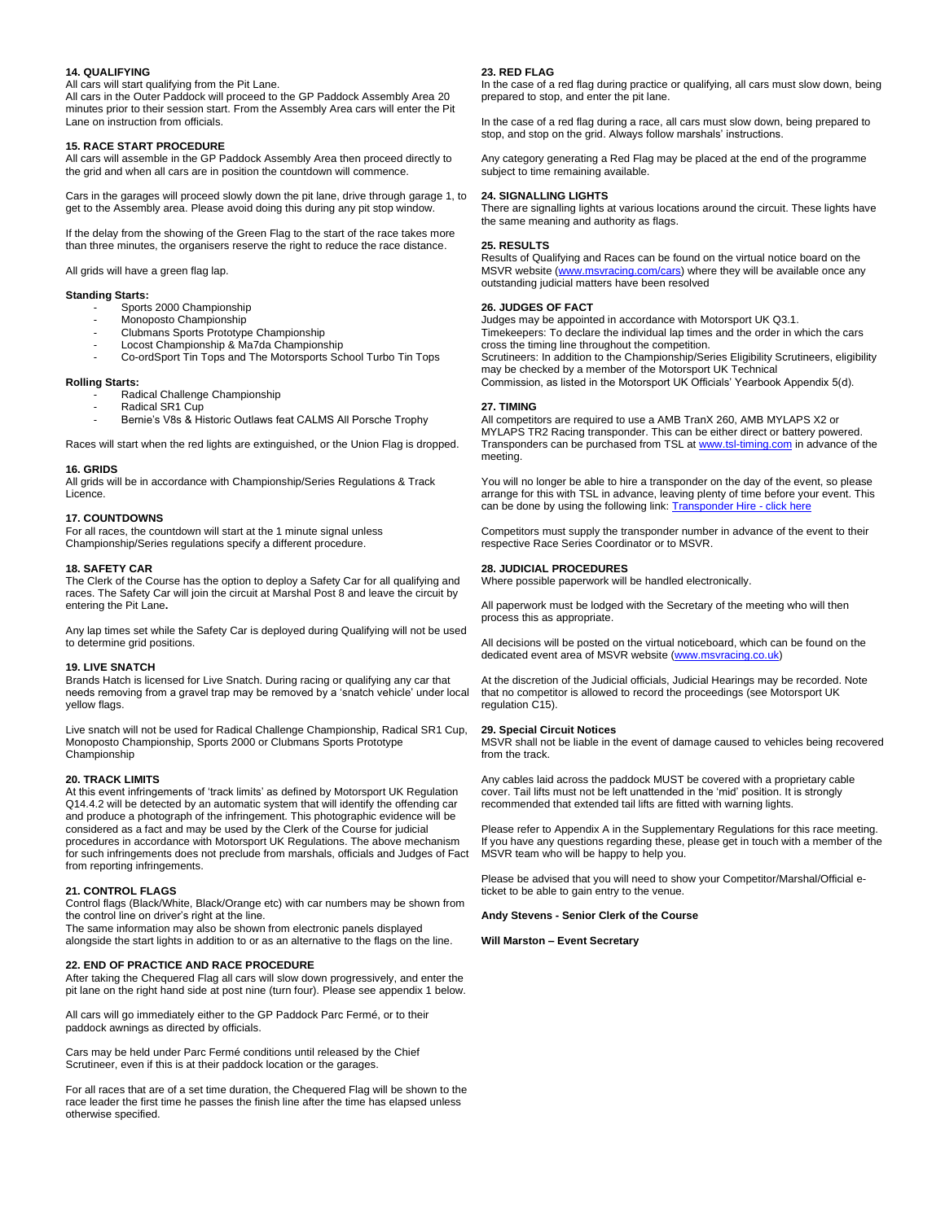#### **14. QUALIFYING**

All cars will start qualifying from the Pit Lane.

All cars in the Outer Paddock will proceed to the GP Paddock Assembly Area 20 minutes prior to their session start. From the Assembly Area cars will enter the Pit Lane on instruction from officials.

#### **15. RACE START PROCEDURE**

All cars will assemble in the GP Paddock Assembly Area then proceed directly to the grid and when all cars are in position the countdown will commence.

Cars in the garages will proceed slowly down the pit lane, drive through garage 1, to get to the Assembly area. Please avoid doing this during any pit stop window.

If the delay from the showing of the Green Flag to the start of the race takes more than three minutes, the organisers reserve the right to reduce the race distance.

All grids will have a green flag lap.

#### **Standing Starts:**

- Sports 2000 Championship
- Monoposto Championship
- Clubmans Sports Prototype Championship
- Locost Championship & Ma7da Championship
- Co-ordSport Tin Tops and The Motorsports School Turbo Tin Tops

#### **Rolling Starts:**

- Radical Challenge Championship
- Radical SR1 Cup
- Bernie's V8s & Historic Outlaws feat CALMS All Porsche Trophy

Races will start when the red lights are extinguished, or the Union Flag is dropped.

#### **16. GRIDS**

All grids will be in accordance with Championship/Series Regulations & Track Licence.

#### **17. COUNTDOWNS**

For all races, the countdown will start at the 1 minute signal unless Championship/Series regulations specify a different procedure.

#### **18. SAFETY CAR**

The Clerk of the Course has the option to deploy a Safety Car for all qualifying and races. The Safety Car will join the circuit at Marshal Post 8 and leave the circuit by entering the Pit Lane**.**

Any lap times set while the Safety Car is deployed during Qualifying will not be used to determine grid positions.

#### **19. LIVE SNATCH**

Brands Hatch is licensed for Live Snatch. During racing or qualifying any car that needs removing from a gravel trap may be removed by a 'snatch vehicle' under local yellow flags.

Live snatch will not be used for Radical Challenge Championship, Radical SR1 Cup, Monoposto Championship, Sports 2000 or Clubmans Sports Prototype Championship

# **20. TRACK LIMITS**

At this event infringements of 'track limits' as defined by Motorsport UK Regulation Q14.4.2 will be detected by an automatic system that will identify the offending car and produce a photograph of the infringement. This photographic evidence will be considered as a fact and may be used by the Clerk of the Course for judicial procedures in accordance with Motorsport UK Regulations. The above mechanism for such infringements does not preclude from marshals, officials and Judges of Fact from reporting infringements.

# **21. CONTROL FLAGS**

Control flags (Black/White, Black/Orange etc) with car numbers may be shown from the control line on driver's right at the line.

The same information may also be shown from electronic panels displayed alongside the start lights in addition to or as an alternative to the flags on the line.

# **22. END OF PRACTICE AND RACE PROCEDURE**

After taking the Chequered Flag all cars will slow down progressively, and enter the pit lane on the right hand side at post nine (turn four). Please see appendix 1 below.

All cars will go immediately either to the GP Paddock Parc Fermé, or to their paddock awnings as directed by officials.

Cars may be held under Parc Fermé conditions until released by the Chief Scrutineer, even if this is at their paddock location or the garages.

For all races that are of a set time duration, the Chequered Flag will be shown to the race leader the first time he passes the finish line after the time has elapsed unless otherwise specified.

#### **23. RED FLAG**

In the case of a red flag during practice or qualifying, all cars must slow down, being prepared to stop, and enter the pit lane.

In the case of a red flag during a race, all cars must slow down, being prepared to stop, and stop on the grid. Always follow marshals' instructions.

Any category generating a Red Flag may be placed at the end of the programme subject to time remaining available.

# **24. SIGNALLING LIGHTS**

There are signalling lights at various locations around the circuit. These lights have the same meaning and authority as flags.

# **25. RESULTS**

Results of Qualifying and Races can be found on the virtual notice board on the MSVR website [\(www.msvracing.com/cars\)](http://www.msvracing.com/cars) where they will be available once any outstanding judicial matters have been resolved

#### **26. JUDGES OF FACT**

Judges may be appointed in accordance with Motorsport UK Q3.1. Timekeepers: To declare the individual lap times and the order in which the cars cross the timing line throughout the competition. Scrutineers: In addition to the Championship/Series Eligibility Scrutineers, eligibility may be checked by a member of the Motorsport UK Technical Commission, as listed in the Motorsport UK Officials' Yearbook Appendix 5(d).

# **27. TIMING**

All competitors are required to use a AMB TranX 260, AMB MYLAPS X2 or MYLAPS TR2 Racing transponder. This can be either direct or battery powered. Transponders can be purchased from TSL a[t www.tsl-timing.com](http://www.tsl-timing.com/) in advance of the meeting.

You will no longer be able to hire a transponder on the day of the event, so please arrange for this with TSL in advance, leaving plenty of time before your event. This can be done by using the following link[: Transponder Hire -](https://www.tsl-timing.com/Store#!/Single-Event-Transponder-Hire/p/211269578/category=0) click here

Competitors must supply the transponder number in advance of the event to their respective Race Series Coordinator or to MSVR.

#### **28. JUDICIAL PROCEDURES**

Where possible paperwork will be handled electronically.

All paperwork must be lodged with the Secretary of the meeting who will then process this as appropriate.

All decisions will be posted on the virtual noticeboard, which can be found on the dedicated event area of MSVR website [\(www.msvracing.co.uk\)](http://www.msvracing.co.uk/)

At the discretion of the Judicial officials, Judicial Hearings may be recorded. Note that no competitor is allowed to record the proceedings (see Motorsport UK regulation C15).

#### **29. Special Circuit Notices**

MSVR shall not be liable in the event of damage caused to vehicles being recovered from the track.

Any cables laid across the paddock MUST be covered with a proprietary cable cover. Tail lifts must not be left unattended in the 'mid' position. It is strongly recommended that extended tail lifts are fitted with warning lights.

Please refer to Appendix A in the Supplementary Regulations for this race meeting. If you have any questions regarding these, please get in touch with a member of the MSVR team who will be happy to help you.

Please be advised that you will need to show your Competitor/Marshal/Official eticket to be able to gain entry to the venue.

**Andy Stevens - Senior Clerk of the Course**

**Will Marston – Event Secretary**